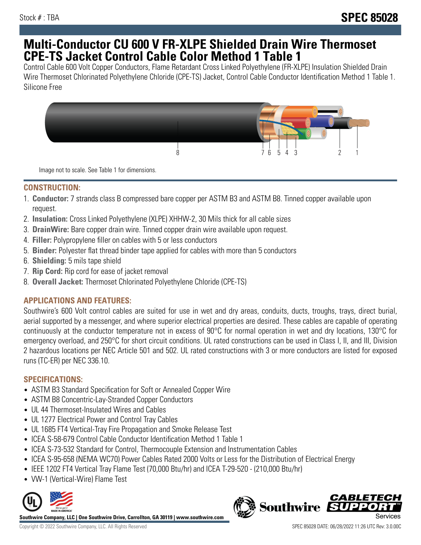# **Multi-Conductor CU 600 V FR-XLPE Shielded Drain Wire Thermoset CPE-TS Jacket Control Cable Color Method 1 Table 1**

Control Cable 600 Volt Copper Conductors, Flame Retardant Cross Linked Polyethylene (FR-XLPE) Insulation Shielded Drain Wire Thermoset Chlorinated Polyethylene Chloride (CPE-TS) Jacket, Control Cable Conductor Identification Method 1 Table 1. Silicone Free



Image not to scale. See Table 1 for dimensions.

#### **CONSTRUCTION:**

- 1. **Conductor:** 7 strands class B compressed bare copper per ASTM B3 and ASTM B8. Tinned copper available upon request.
- 2. **Insulation:** Cross Linked Polyethylene (XLPE) XHHW-2, 30 Mils thick for all cable sizes
- 3. **DrainWire:** Bare copper drain wire. Tinned copper drain wire available upon request.
- 4. **Filler:** Polypropylene filler on cables with 5 or less conductors
- 5. **Binder:** Polyester flat thread binder tape applied for cables with more than 5 conductors
- 6. **Shielding:** 5 mils tape shield
- 7. **Rip Cord:** Rip cord for ease of jacket removal
- 8. **Overall Jacket:** Thermoset Chlorinated Polyethylene Chloride (CPE-TS)

## **APPLICATIONS AND FEATURES:**

Southwire's 600 Volt control cables are suited for use in wet and dry areas, conduits, ducts, troughs, trays, direct burial, aerial supported by a messenger, and where superior electrical properties are desired. These cables are capable of operating continuously at the conductor temperature not in excess of 90°C for normal operation in wet and dry locations, 130°C for emergency overload, and 250°C for short circuit conditions. UL rated constructions can be used in Class I, II, and III, Division 2 hazardous locations per NEC Article 501 and 502. UL rated constructions with 3 or more conductors are listed for exposed runs (TC-ER) per NEC 336.10.

## **SPECIFICATIONS:**

- ASTM B3 Standard Specification for Soft or Annealed Copper Wire
- ASTM B8 Concentric-Lay-Stranded Copper Conductors
- UL 44 Thermoset-Insulated Wires and Cables
- UL 1277 Electrical Power and Control Tray Cables
- UL 1685 FT4 Vertical-Tray Fire Propagation and Smoke Release Test
- ICEA S-58-679 Control Cable Conductor Identification Method 1 Table 1
- ICEA S-73-532 Standard for Control, Thermocouple Extension and Instrumentation Cables
- ICEA S-95-658 (NEMA WC70) Power Cables Rated 2000 Volts or Less for the Distribution of Electrical Energy
- IEEE 1202 FT4 Vertical Tray Flame Test (70,000 Btu/hr) and ICEA T-29-520 (210,000 Btu/hr)
- VW-1 (Vertical-Wire) Flame Test



**Southwire Company, LLC | One Southwire Drive, Carrollton, GA 30119 | www.southwire.com**

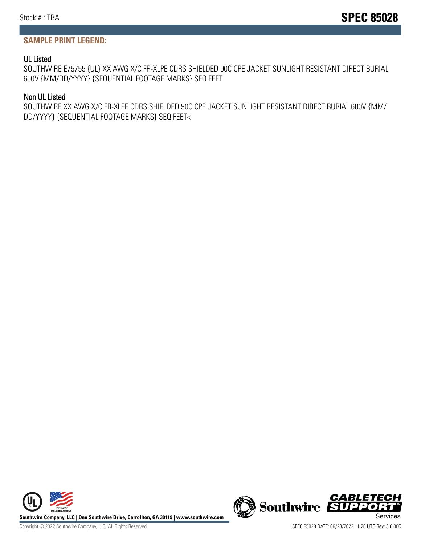### **SAMPLE PRINT LEGEND:**

#### UL Listed

SOUTHWIRE E75755 {UL} XX AWG X/C FR-XLPE CDRS SHIELDED 90C CPE JACKET SUNLIGHT RESISTANT DIRECT BURIAL 600V {MM/DD/YYYY} {SEQUENTIAL FOOTAGE MARKS} SEQ FEET

#### Non UL Listed

SOUTHWIRE XX AWG X/C FR-XLPE CDRS SHIELDED 90C CPE JACKET SUNLIGHT RESISTANT DIRECT BURIAL 600V {MM/ DD/YYYY} {SEQUENTIAL FOOTAGE MARKS} SEQ FEET<